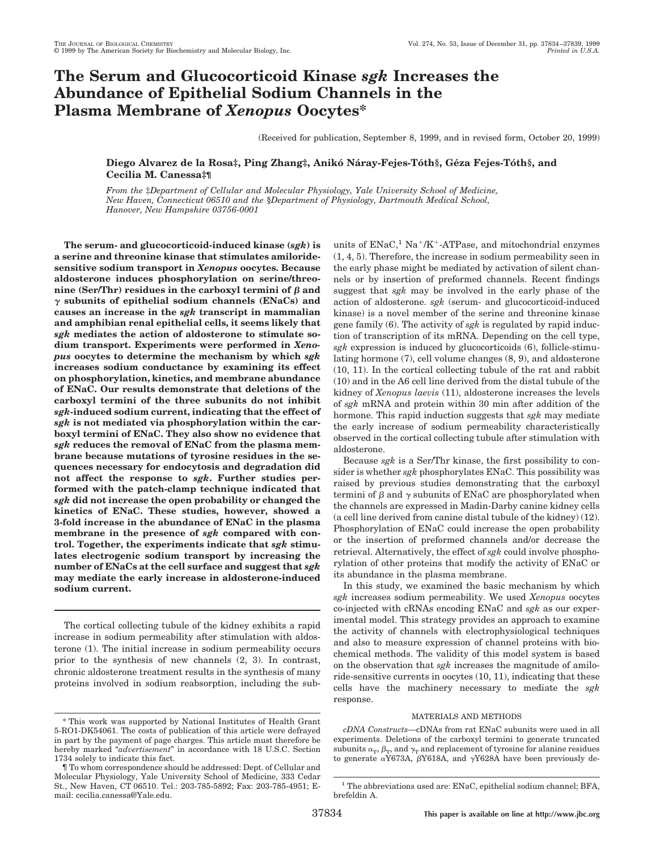# **The Serum and Glucocorticoid Kinase** *sgk* **Increases the Abundance of Epithelial Sodium Channels in the Plasma Membrane of** *Xenopus* **Oocytes\***

(Received for publication, September 8, 1999, and in revised form, October 20, 1999)

# Diego Alvarez de la Rosa‡, Ping Zhang‡, Anikó Náray-Fejes-Tóth§, Géza Fejes-Tóth§, and **Cecilia M. Canessa‡¶**

*From the* ‡*Department of Cellular and Molecular Physiology, Yale University School of Medicine, New Haven, Connecticut 06510 and the* §*Department of Physiology, Dartmouth Medical School, Hanover, New Hampshire 03756-0001*

**The serum- and glucocorticoid-induced kinase (***sgk***) is a serine and threonine kinase that stimulates amiloridesensitive sodium transport in** *Xenopus* **oocytes. Because aldosterone induces phosphorylation on serine/threo**nine (Ser/Thr) residues in the carboxyl termini of  $\beta$  and  $\gamma$  subunits of epithelial sodium channels (ENaCs) and **causes an increase in the** *sgk* **transcript in mammalian and amphibian renal epithelial cells, it seems likely that** *sgk* **mediates the action of aldosterone to stimulate sodium transport. Experiments were performed in** *Xenopus* **oocytes to determine the mechanism by which** *sgk* **increases sodium conductance by examining its effect on phosphorylation, kinetics, and membrane abundance of ENaC. Our results demonstrate that deletions of the carboxyl termini of the three subunits do not inhibit** *sgk***-induced sodium current, indicating that the effect of** *sgk* **is not mediated via phosphorylation within the carboxyl termini of ENaC. They also show no evidence that** *sgk* **reduces the removal of ENaC from the plasma membrane because mutations of tyrosine residues in the sequences necessary for endocytosis and degradation did not affect the response to** *sgk***. Further studies performed with the patch-clamp technique indicated that** *sgk* **did not increase the open probability or changed the kinetics of ENaC. These studies, however, showed a 3-fold increase in the abundance of ENaC in the plasma membrane in the presence of** *sgk* **compared with control. Together, the experiments indicate that** *sgk* **stimulates electrogenic sodium transport by increasing the number of ENaCs at the cell surface and suggest that** *sgk* **may mediate the early increase in aldosterone-induced sodium current.**

The cortical collecting tubule of the kidney exhibits a rapid increase in sodium permeability after stimulation with aldosterone (1). The initial increase in sodium permeability occurs prior to the synthesis of new channels (2, 3). In contrast, chronic aldosterone treatment results in the synthesis of many proteins involved in sodium reabsorption, including the subunits of  $\rm ENaC,^1\,Na^+/K^+$  -ATPase, and mitochondrial enzymes (1, 4, 5). Therefore, the increase in sodium permeability seen in the early phase might be mediated by activation of silent channels or by insertion of preformed channels. Recent findings suggest that *sgk* may be involved in the early phase of the action of aldosterone. *sgk* (serum- and glucocorticoid-induced kinase) is a novel member of the serine and threonine kinase gene family (6). The activity of *sgk* is regulated by rapid induction of transcription of its mRNA. Depending on the cell type, *sgk* expression is induced by glucocorticoids (6), follicle-stimulating hormone (7), cell volume changes (8, 9), and aldosterone (10, 11). In the cortical collecting tubule of the rat and rabbit (10) and in the A6 cell line derived from the distal tubule of the kidney of *Xenopus laevis* (11), aldosterone increases the levels of *sgk* mRNA and protein within 30 min after addition of the hormone. This rapid induction suggests that *sgk* may mediate the early increase of sodium permeability characteristically observed in the cortical collecting tubule after stimulation with aldosterone.

Because *sgk* is a Ser/Thr kinase, the first possibility to consider is whether *sgk* phosphorylates ENaC. This possibility was raised by previous studies demonstrating that the carboxyl termini of  $\beta$  and  $\gamma$  subunits of ENaC are phosphorylated when the channels are expressed in Madin-Darby canine kidney cells (a cell line derived from canine distal tubule of the kidney) (12). Phosphorylation of ENaC could increase the open probability or the insertion of preformed channels and/or decrease the retrieval. Alternatively, the effect of *sgk* could involve phosphorylation of other proteins that modify the activity of ENaC or its abundance in the plasma membrane.

In this study, we examined the basic mechanism by which *sgk* increases sodium permeability. We used *Xenopus* oocytes co-injected with cRNAs encoding ENaC and *sgk* as our experimental model. This strategy provides an approach to examine the activity of channels with electrophysiological techniques and also to measure expression of channel proteins with biochemical methods. The validity of this model system is based on the observation that *sgk* increases the magnitude of amiloride-sensitive currents in oocytes (10, 11), indicating that these cells have the machinery necessary to mediate the *sgk* response.

## MATERIALS AND METHODS

*cDNA Constructs—*cDNAs from rat ENaC subunits were used in all experiments. Deletions of the carboxyl termini to generate truncated subunits  $\alpha_T$ ,  $\beta_T$ , and  $\gamma_T$  and replacement of tyrosine for alanine residues to generate  $\alpha$ Y673A,  $\beta$ Y618A, and  $\gamma$ Y628A have been previously de-

<sup>\*</sup> This work was supported by National Institutes of Health Grant 5-RO1-DK54061. The costs of publication of this article were defrayed in part by the payment of page charges. This article must therefore be hereby marked "*advertisement*" in accordance with 18 U.S.C. Section 1734 solely to indicate this fact.

<sup>¶</sup> To whom correspondence should be addressed: Dept. of Cellular and Molecular Physiology, Yale University School of Medicine, 333 Cedar St., New Haven, CT 06510. Tel.: 203-785-5892; Fax: 203-785-4951; Email: cecilia.canessa@Yale.edu.

 $^{\rm 1}$  The abbreviations used are: ENaC, epithelial sodium channel; BFA, brefeldin A.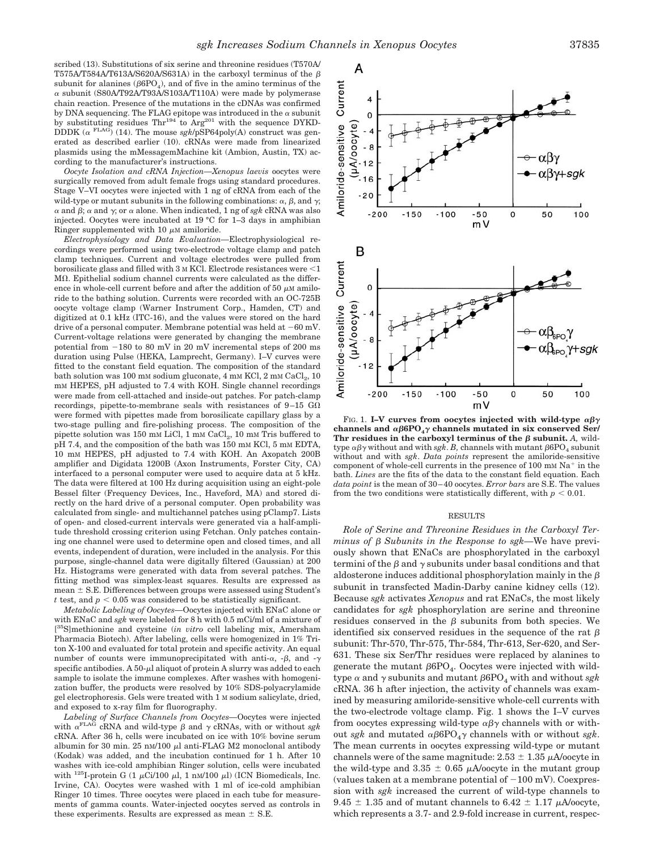scribed (13). Substitutions of six serine and threonine residues (T570A/ T575A/T584A/T613A/S620A/S631A) in the carboxyl terminus of the  $\beta$ subunit for alanines ( $\beta$ 6PO<sub>4</sub>), and of five in the amino terminus of the  $\alpha$  subunit (S80A/T92A/T93A/S103A/T110A) were made by polymerase chain reaction. Presence of the mutations in the cDNAs was confirmed by DNA sequencing. The FLAG epitope was introduced in the  $\alpha$  subunit by substituting residues Thr<sup>194</sup> to Arg<sup>201</sup> with the sequence DYKD-DDDK ( $\alpha$ <sup>FLAG</sup>)</sub> (14). The mouse *sgk/pSP64poly(A)* construct was generated as described earlier (10). cRNAs were made from linearized plasmids using the mMessagemMachine kit (Ambion, Austin, TX) according to the manufacturer's instructions.

*Oocyte Isolation and cRNA Injection—Xenopus laevis* oocytes were surgically removed from adult female frogs using standard procedures. Stage V–VI oocytes were injected with 1 ng of cRNA from each of the wild-type or mutant subunits in the following combinations:  $\alpha$ ,  $\beta$ , and  $\gamma$ ;  $\alpha$  and  $\beta;$   $\alpha$  and  $\gamma;$  or  $\alpha$  alone. When indicated, 1 ng of  $s g k$  cRNA was also injected. Oocytes were incubated at 19 °C for 1–3 days in amphibian Ringer supplemented with 10  $\mu$ M amiloride.

*Electrophysiology and Data Evaluation—*Electrophysiological recordings were performed using two-electrode voltage clamp and patch clamp techniques. Current and voltage electrodes were pulled from borosilicate glass and filled with  $3 \text{ M}$  KCl. Electrode resistances were  $\leq 1$  $M\Omega$ . Epithelial sodium channel currents were calculated as the difference in whole-cell current before and after the addition of 50  $\mu$ M amiloride to the bathing solution. Currents were recorded with an OC-725B oocyte voltage clamp (Warner Instrument Corp., Hamden, CT) and digitized at 0.1 kHz (ITC-16), and the values were stored on the hard drive of a personal computer. Membrane potential was held at  $-60$  mV. Current-voltage relations were generated by changing the membrane potential from  $-180$  to 80 mV in 20 mV incremental steps of 200 ms duration using Pulse (HEKA, Lamprecht, Germany). I–V curves were fitted to the constant field equation. The composition of the standard bath solution was  $100 \text{ mm}$  sodium gluconate,  $4 \text{ mm}$  KCl,  $2 \text{ mm}$  CaCl<sub>2</sub>,  $10$ mM HEPES, pH adjusted to 7.4 with KOH. Single channel recordings were made from cell-attached and inside-out patches. For patch-clamp recordings, pipette-to-membrane seals with resistances of 9-15 GO were formed with pipettes made from borosilicate capillary glass by a two-stage pulling and fire-polishing process. The composition of the pipette solution was  $150 \text{ mM LiCl}$ ,  $1 \text{ mM CaCl}_2$ ,  $10 \text{ mM Tris buffered to}$ pH 7.4, and the composition of the bath was 150 mm KCl, 5 mm EDTA, 10 mM HEPES, pH adjusted to 7.4 with KOH. An Axopatch 200B amplifier and Digidata 1200B (Axon Instruments, Forster City, CA) interfaced to a personal computer were used to acquire data at 5 kHz. The data were filtered at 100 Hz during acquisition using an eight-pole Bessel filter (Frequency Devices, Inc., Haveford, MA) and stored directly on the hard drive of a personal computer. Open probability was calculated from single- and multichannel patches using pClamp7. Lists of open- and closed-current intervals were generated via a half-amplitude threshold crossing criterion using Fetchan. Only patches containing one channel were used to determine open and closed times, and all events, independent of duration, were included in the analysis. For this purpose, single-channel data were digitally filtered (Gaussian) at 200 Hz. Histograms were generated with data from several patches. The fitting method was simplex-least squares. Results are expressed as mean  $\pm$  S.E. Differences between groups were assessed using Student's *t* test, and  $p < 0.05$  was considered to be statistically significant.

*Metabolic Labeling of Oocytes—*Oocytes injected with ENaC alone or with ENaC and *sgk* were labeled for 8 h with 0.5 mCi/ml of a mixture of [<sup>35</sup>S]methionine and cysteine (*in vitro* cell labeling mix, Amersham Pharmacia Biotech). After labeling, cells were homogenized in 1% Triton X-100 and evaluated for total protein and specific activity. An equal number of counts were immunoprecipitated with anti- $\alpha$ , - $\beta$ , and - $\gamma$ specific antibodies. A 50- $\mu$ l aliquot of protein A slurry was added to each sample to isolate the immune complexes. After washes with homogenization buffer, the products were resolved by 10% SDS-polyacrylamide gel electrophoresis. Gels were treated with 1 M sodium salicylate, dried, and exposed to x-ray film for fluorography.

*Labeling of Surface Channels from Oocytes—*Oocytes were injected with  $\alpha^{\text{FLAG}}$  cRNA and wild-type  $\beta$  and  $\gamma$  cRNAs, with or without *sgk* cRNA. After 36 h, cells were incubated on ice with 10% bovine serum albumin for 30 min. 25 nM/100  $\mu$ l anti-FLAG M2 monoclonal antibody (Kodak) was added, and the incubation continued for 1 h. After 10 washes with ice-cold amphibian Ringer solution, cells were incubated with <sup>125</sup>I-protein G (1  $\mu$ Ci/100  $\mu$ l, 1 nM/100  $\mu$ l) (ICN Biomedicals, Inc. Irvine, CA). Oocytes were washed with 1 ml of ice-cold amphibian Ringer 10 times. Three oocytes were placed in each tube for measurements of gamma counts. Water-injected oocytes served as controls in these experiments. Results are expressed as mean  $\pm$  S.E.



FIG. 1. I-V curves from oocytes injected with wild-type  $\alpha\beta\gamma$ channels and  $\alpha\beta$ 6PO<sub>4</sub> $\gamma$  channels mutated in six conserved Ser/ Thr residues in the carboxyl terminus of the  $\beta$  subunit. A, wildtype  $\alpha\beta\gamma$  without and with *sgk. B,* channels with mutant  $\beta$ 6PO<sub>4</sub> subunit without and with *sgk*. *Data points* represent the amiloride-sensitive component of whole-cell currents in the presence of  $100 \text{ mm Na}^+$  in the bath. *Lines* are the fits of the data to the constant field equation. Each *data point* is the mean of 30–40 oocytes. *Error bars* are S.E. The values from the two conditions were statistically different, with  $p < 0.01$ .

#### RESULTS

*Role of Serine and Threonine Residues in the Carboxyl Terminus of* β *Subunits in the Response to sgk*—We have previously shown that ENaCs are phosphorylated in the carboxyl termini of the  $\beta$  and  $\gamma$  subunits under basal conditions and that aldosterone induces additional phosphorylation mainly in the  $\beta$ subunit in transfected Madin-Darby canine kidney cells (12). Because *sgk* activates *Xenopus* and rat ENaCs, the most likely candidates for *sgk* phosphorylation are serine and threonine residues conserved in the  $\beta$  subunits from both species. We identified six conserved residues in the sequence of the rat  $\beta$ subunit: Thr-570, Thr-575, Thr-584, Thr-613, Ser-620, and Ser-631. These six Ser/Thr residues were replaced by alanines to generate the mutant  $\beta$ 6PO<sub>4</sub>. Oocytes were injected with wildtype  $\alpha$  and  $\gamma$  subunits and mutant  $\beta$ 6PO<sub>4</sub> with and without *sgk* cRNA. 36 h after injection, the activity of channels was examined by measuring amiloride-sensitive whole-cell currents with the two-electrode voltage clamp. Fig. 1 shows the I–V curves from oocytes expressing wild-type  $\alpha\beta\gamma$  channels with or without *sgk* and mutated  $\alpha\beta6PO_4\gamma$  channels with or without *sgk*. The mean currents in oocytes expressing wild-type or mutant channels were of the same magnitude:  $2.53 \pm 1.35 \mu A$ /oocyte in the wild-type and  $3.35 \pm 0.65$   $\mu$ A/oocyte in the mutant group (values taken at a membrane potential of  $-100$  mV). Coexpression with *sgk* increased the current of wild-type channels to 9.45  $\pm$  1.35 and of mutant channels to 6.42  $\pm$  1.17  $\mu$ A/oocyte, which represents a 3.7- and 2.9-fold increase in current, respec-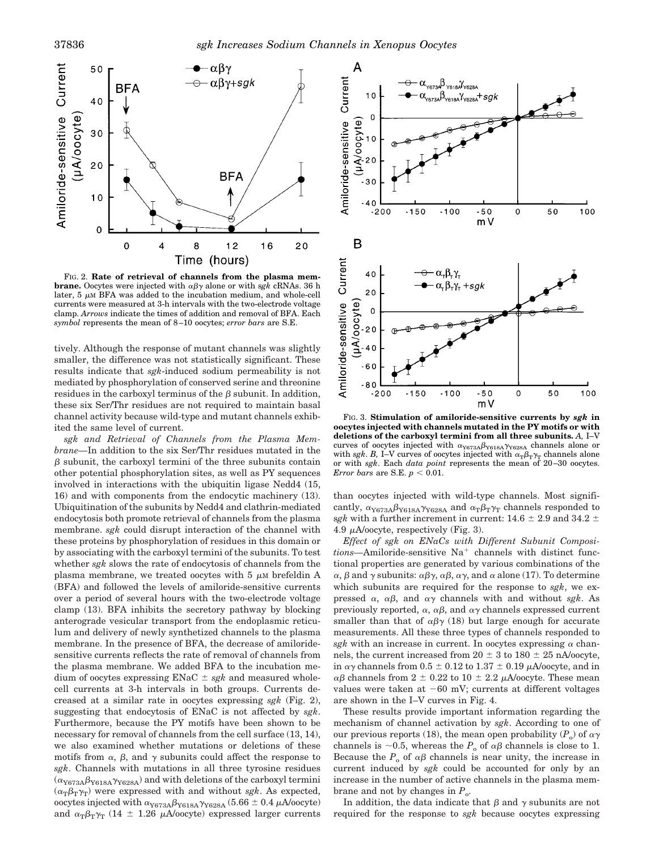

FIG. 2. **Rate of retrieval of channels from the plasma membrane.** Oocytes were injected with  $\alpha\beta\gamma$  alone or with sgk cRNAs. 36 h later,  $5 \mu M$  BFA was added to the incubation medium, and whole-cell currents were measured at 3-h intervals with the two-electrode voltage clamp. *Arrows* indicate the times of addition and removal of BFA. Each *symbol* represents the mean of 8–10 oocytes; *error bars* are S.E.

tively. Although the response of mutant channels was slightly smaller, the difference was not statistically significant. These results indicate that *sgk*-induced sodium permeability is not mediated by phosphorylation of conserved serine and threonine residues in the carboxyl terminus of the  $\beta$  subunit. In addition, these six Ser/Thr residues are not required to maintain basal channel activity because wild-type and mutant channels exhibited the same level of current.

*sgk and Retrieval of Channels from the Plasma Membrane—*In addition to the six Ser/Thr residues mutated in the  $\beta$  subunit, the carboxyl termini of the three subunits contain other potential phosphorylation sites, as well as PY sequences involved in interactions with the ubiquitin ligase Nedd4 (15, 16) and with components from the endocytic machinery (13). Ubiquitination of the subunits by Nedd4 and clathrin-mediated endocytosis both promote retrieval of channels from the plasma membrane. *sgk* could disrupt interaction of the channel with these proteins by phosphorylation of residues in this domain or by associating with the carboxyl termini of the subunits. To test whether *sgk* slows the rate of endocytosis of channels from the plasma membrane, we treated oocytes with  $5 \mu M$  brefeldin A (BFA) and followed the levels of amiloride-sensitive currents over a period of several hours with the two-electrode voltage clamp (13). BFA inhibits the secretory pathway by blocking anterograde vesicular transport from the endoplasmic reticulum and delivery of newly synthetized channels to the plasma membrane. In the presence of BFA, the decrease of amiloridesensitive currents reflects the rate of removal of channels from the plasma membrane. We added BFA to the incubation medium of oocytes expressing  $ENaC \pm sgk$  and measured wholecell currents at 3-h intervals in both groups. Currents decreased at a similar rate in oocytes expressing *sgk* (Fig. 2), suggesting that endocytosis of ENaC is not affected by *sgk*. Furthermore, because the PY motifs have been shown to be necessary for removal of channels from the cell surface (13, 14), we also examined whether mutations or deletions of these motifs from  $\alpha$ ,  $\beta$ , and  $\gamma$  subunits could affect the response to *sgk*. Channels with mutations in all three tyrosine residues  $(\alpha_{Y673A}\beta_{Y618A}\gamma_{Y628A})$  and with deletions of the carboxyl termini  $(\alpha_{\text{T}}\beta_{\text{T}}\gamma_{\text{T}})$  were expressed with and without *sgk*. As expected, oocytes injected with  $\alpha_{Y673A}\beta_{Y618A}\gamma_{Y628A}$  (5.66  $\pm$  0.4  $\mu$ A/oocyte) and  $\alpha_{\text{T}}\beta_{\text{T}}\gamma_{\text{T}}$  (14  $\pm$  1.26  $\mu\text{A/oocyte}$ ) expressed larger currents



FIG. 3. **Stimulation of amiloride-sensitive currents by** *sgk* **in oocytes injected with channels mutated in the PY motifs or with deletions of the carboxyl termini from all three subunits.** *A,* I–V curves of oocytes injected with  $\alpha_{Y673A}\beta_{Y618A}\gamma_{Y628A}$  channels alone or with *sgk*. *B*, I–V curves of oocytes injected with  $\alpha_{\text{T}}\beta_{\text{T}}\gamma_{\text{T}}$  channels alone or with *sgk*. Each *data point* represents the mean of 20–30 oocytes. *Error bars* are S.E.  $p < 0.01$ .

than oocytes injected with wild-type channels. Most significantly,  $\alpha_{Y673A}\beta_{Y618A}\gamma_{Y628A}$  and  $\alpha_{T}\beta_{T}\gamma_{T}$  channels responded to sgk with a further increment in current:  $14.6 \pm 2.9$  and  $34.2 \pm$ 4.9  $\mu$ A/oocyte, respectively (Fig. 3).

*Effect of sgk on ENaCs with Different Subunit Composi* $tions$ —Amiloride-sensitive  $Na<sup>+</sup>$  channels with distinct functional properties are generated by various combinations of the  $\alpha$ ,  $\beta$  and  $\gamma$  subunits:  $\alpha\beta\gamma$ ,  $\alpha\beta$ ,  $\alpha\gamma$ , and  $\alpha$  alone (17). To determine which subunits are required for the response to *sgk*, we expressed  $\alpha$ ,  $\alpha\beta$ , and  $\alpha\gamma$  channels with and without *sgk*. As previously reported,  $\alpha$ ,  $\alpha\beta$ , and  $\alpha\gamma$  channels expressed current smaller than that of  $\alpha\beta\gamma$  (18) but large enough for accurate measurements. All these three types of channels responded to  $sgk$  with an increase in current. In oocytes expressing  $\alpha$  channels, the current increased from  $20 \pm 3$  to  $180 \pm 25$  nA/oocyte, in  $\alpha\gamma$  channels from 0.5  $\pm$  0.12 to 1.37  $\pm$  0.19  $\mu$ A/oocyte, and in  $\alpha\beta$  channels from 2  $\pm$  0.22 to 10  $\pm$  2.2  $\mu$ A/oocyte. These mean values were taken at  $-60$  mV; currents at different voltages are shown in the I–V curves in Fig. 4.

These results provide important information regarding the mechanism of channel activation by *sgk*. According to one of our previous reports (18), the mean open probability  $(P_0)$  of  $\alpha\gamma$ channels is  $\sim$ 0.5, whereas the *P*<sub>o</sub> of  $\alpha\beta$  channels is close to 1. Because the  $P_0$  of  $\alpha\beta$  channels is near unity, the increase in current induced by *sgk* could be accounted for only by an increase in the number of active channels in the plasma membrane and not by changes in  $P_0$ .

In addition, the data indicate that  $\beta$  and  $\gamma$  subunits are not required for the response to *sgk* because oocytes expressing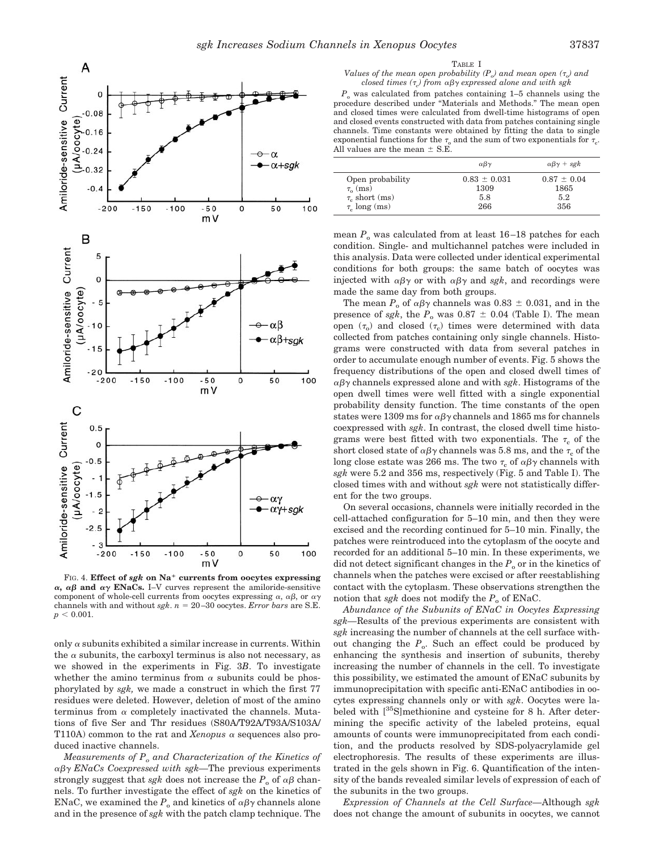

FIG. 4. **Effect of** *sgk* **on Na**<sup>1</sup> **currents from oocytes expressing**  $\alpha$ ,  $\alpha\beta$  and  $\alpha\gamma$  **ENaCs.** I–V curves represent the amiloride-sensitive component of whole-cell currents from oocytes expressing  $\alpha$ ,  $\alpha\beta$ , or  $\alpha\gamma$ channels with and without  $sgh$ .  $n = 20-30$  oocytes. *Error bars* are S.E.  $p < 0.001$ .

only  $\alpha$  subunits exhibited a similar increase in currents. Within the  $\alpha$  subunits, the carboxyl terminus is also not necessary, as we showed in the experiments in Fig. 3*B*. To investigate whether the amino terminus from  $\alpha$  subunits could be phosphorylated by *sgk,* we made a construct in which the first 77 residues were deleted. However, deletion of most of the amino terminus from  $\alpha$  completely inactivated the channels. Mutations of five Ser and Thr residues (S80A/T92A/T93A/S103A/ T110A) common to the rat and *Xenopus*  $\alpha$  sequences also produced inactive channels.

*Measurements of Po and Characterization of the Kinetics of* abg *ENaCs Coexpressed with sgk—*The previous experiments strongly suggest that *sgk* does not increase the  $P_0$  of  $\alpha\beta$  channels. To further investigate the effect of *sgk* on the kinetics of ENaC, we examined the  $P_0$  and kinetics of  $\alpha\beta\gamma$  channels alone and in the presence of *sgk* with the patch clamp technique. The

TABLE I

### *Values of the mean open probability*  $(P_0)$  *and mean open*  $(\tau_0)$  *and closed times (*t*c) from* abg *expressed alone and with sgk*

 $P_{\alpha}$  was calculated from patches containing 1–5 channels using the procedure described under "Materials and Methods." The mean open and closed times were calculated from dwell-time histograms of open and closed events constructed with data from patches containing single channels. Time constants were obtained by fitting the data to single exponential functions for the  $\tau_0$  and the sum of two exponentials for  $\tau_c$ . All values are the mean  $\pm$  S.E.

|                     | $\alpha\beta\gamma$ | $\alpha\beta\gamma$ + sgk |
|---------------------|---------------------|---------------------------|
| Open probability    | $0.83 \pm 0.031$    | $0.87 \pm 0.04$           |
| $\tau_{0}$ (ms)     | 1309                | 1865                      |
| $\tau_c$ short (ms) | 5.8                 | 5.2                       |
| $\tau_c$ long (ms)  | 266                 | 356                       |

mean  $P_0$  was calculated from at least 16–18 patches for each condition. Single- and multichannel patches were included in this analysis. Data were collected under identical experimental conditions for both groups: the same batch of oocytes was injected with  $\alpha\beta\gamma$  or with  $\alpha\beta\gamma$  and *sgk*, and recordings were made the same day from both groups.

The mean  $P_0$  of  $\alpha\beta\gamma$  channels was 0.83  $\pm$  0.031, and in the presence of *sgk*, the  $P_0$  was 0.87  $\pm$  0.04 (Table I). The mean open  $(\tau_o)$  and closed  $(\tau_c)$  times were determined with data collected from patches containing only single channels. Histograms were constructed with data from several patches in order to accumulate enough number of events. Fig. 5 shows the frequency distributions of the open and closed dwell times of  $\alpha\beta\gamma$  channels expressed alone and with *sgk*. Histograms of the open dwell times were well fitted with a single exponential probability density function. The time constants of the open states were 1309 ms for  $\alpha\beta\gamma$  channels and 1865 ms for channels coexpressed with *sgk*. In contrast, the closed dwell time histograms were best fitted with two exponentials. The  $\tau_c$  of the short closed state of  $\alpha\beta\gamma$  channels was 5.8 ms, and the  $\tau_c$  of the long close estate was 266 ms. The two  $\tau_c$  of  $\alpha\beta\gamma$  channels with *sgk* were 5.2 and 356 ms, respectively (Fig. 5 and Table I). The closed times with and without *sgk* were not statistically different for the two groups.

On several occasions, channels were initially recorded in the cell-attached configuration for 5–10 min, and then they were excised and the recording continued for 5–10 min. Finally, the patches were reintroduced into the cytoplasm of the oocyte and recorded for an additional 5–10 min. In these experiments, we did not detect significant changes in the  $P<sub>o</sub>$  or in the kinetics of channels when the patches were excised or after reestablishing contact with the cytoplasm. These observations strengthen the notion that *sgk* does not modify the  $P_0$  of ENaC.

*Abundance of the Subunits of ENaC in Oocytes Expressing sgk—*Results of the previous experiments are consistent with *sgk* increasing the number of channels at the cell surface without changing the  $P_{o}$ . Such an effect could be produced by enhancing the synthesis and insertion of subunits, thereby increasing the number of channels in the cell. To investigate this possibility, we estimated the amount of ENaC subunits by immunoprecipitation with specific anti-ENaC antibodies in oocytes expressing channels only or with *sgk*. Oocytes were labeled with  $\left[^{35}S\right]$ methionine and cysteine for 8 h. After determining the specific activity of the labeled proteins, equal amounts of counts were immunoprecipitated from each condition, and the products resolved by SDS-polyacrylamide gel electrophoresis. The results of these experiments are illustrated in the gels shown in Fig. 6. Quantification of the intensity of the bands revealed similar levels of expression of each of the subunits in the two groups.

*Expression of Channels at the Cell Surface—*Although *sgk* does not change the amount of subunits in oocytes, we cannot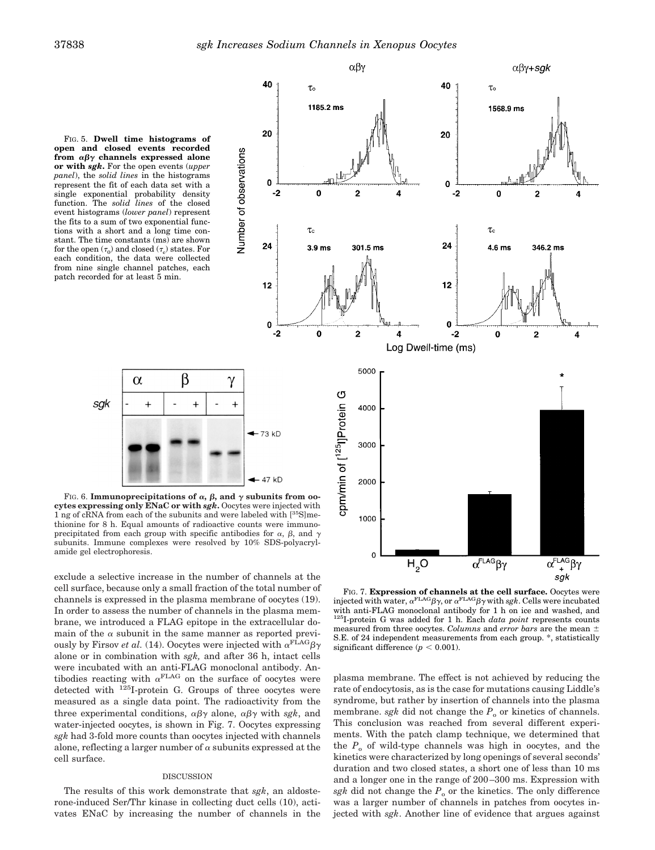40

20

 $\mathbf{0}$ 

24

 $12$ 

 $\Omega$  $\overline{2}$ 

 $-2$ 

Number of observations

FIG. 5. **Dwell time histograms of open and closed events recorded** from  $\alpha\beta\gamma$  channels expressed alone **or with** *sgk***.** For the open events (*upper panel*), the *solid lines* in the histograms represent the fit of each data set with a single exponential probability density function. The *solid lines* of the closed event histograms (*lower panel*) represent the fits to a sum of two exponential functions with a short and a long time constant. The time constants (ms) are shown for the open  $(\tau_0)$  and closed  $(\tau_{\rm c})$  states. For each condition, the data were collected from nine single channel patches, each patch recorded for at least 5 min.



FIG. 6. **Immunoprecipitations of**  $\alpha$ ,  $\beta$ , and  $\gamma$  subunits from oo**cytes expressing only ENaC or with** *sgk***.** Oocytes were injected with 1 ng of cRNA from each of the subunits and were labeled with  $[35S]$ methionine for 8 h. Equal amounts of radioactive counts were immunoprecipitated from each group with specific antibodies for  $\alpha$ ,  $\beta$ , and  $\gamma$ subunits. Immune complexes were resolved by 10% SDS-polyacrylamide gel electrophoresis.

exclude a selective increase in the number of channels at the cell surface, because only a small fraction of the total number of channels is expressed in the plasma membrane of oocytes (19). In order to assess the number of channels in the plasma membrane, we introduced a FLAG epitope in the extracellular domain of the  $\alpha$  subunit in the same manner as reported previously by Firsov *et al.* (14). Oocytes were injected with  $\alpha^{\text{FLAG}}\beta\gamma$ alone or in combination with *sgk,* and after 36 h, intact cells were incubated with an anti-FLAG monoclonal antibody. Antibodies reacting with  $\alpha^{\text{FLAG}}$  on the surface of oocytes were detected with  $125$ I-protein G. Groups of three oocytes were measured as a single data point. The radioactivity from the three experimental conditions,  $\alpha\beta\gamma$  alone,  $\alpha\beta\gamma$  with *sgk*, and water-injected oocytes, is shown in Fig. 7. Oocytes expressing *sgk* had 3-fold more counts than oocytes injected with channels alone, reflecting a larger number of  $\alpha$  subunits expressed at the cell surface.

# DISCUSSION

The results of this work demonstrate that *sgk*, an aldosterone-induced Ser/Thr kinase in collecting duct cells (10), activates ENaC by increasing the number of channels in the



FIG. 7. **Expression of channels at the cell surface.** Oocytes were injected with water,  $\alpha^{\text{FLAG}}\beta\gamma$ , or  $\alpha^{\text{FLAG}}\beta\gamma$  with *sgk*. Cells were incubated with anti-FLAG monoclonal antibody for 1 h on ice and washed, and  $125$ I-protein G was added for 1 h. Each *data point* represents counts measured from three oocytes. *Columns* and *error bars* are the mean  $\pm$ S.E. of 24 independent measurements from each group. \*, statistically significant difference ( $p < 0.001$ ).

plasma membrane. The effect is not achieved by reducing the rate of endocytosis, as is the case for mutations causing Liddle's syndrome, but rather by insertion of channels into the plasma membrane. *sgk* did not change the  $P_0$  or kinetics of channels. This conclusion was reached from several different experiments. With the patch clamp technique, we determined that the  $P_0$  of wild-type channels was high in oocytes, and the kinetics were characterized by long openings of several seconds' duration and two closed states, a short one of less than 10 ms and a longer one in the range of 200–300 ms. Expression with *sgk* did not change the  $P_0$  or the kinetics. The only difference was a larger number of channels in patches from oocytes injected with *sgk*. Another line of evidence that argues against